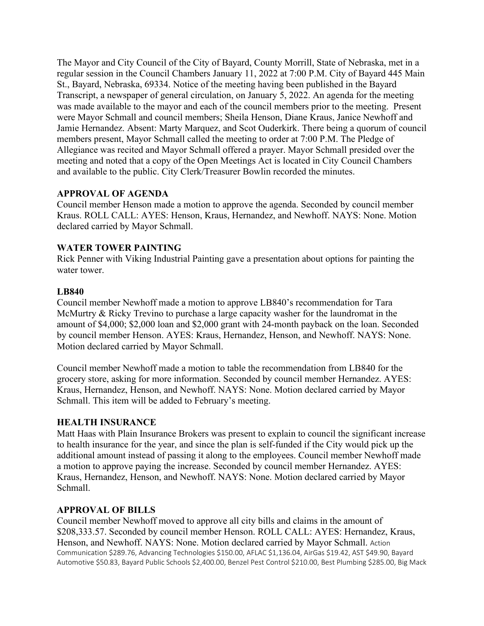The Mayor and City Council of the City of Bayard, County Morrill, State of Nebraska, met in a regular session in the Council Chambers January 11, 2022 at 7:00 P.M. City of Bayard 445 Main St., Bayard, Nebraska, 69334. Notice of the meeting having been published in the Bayard Transcript, a newspaper of general circulation, on January 5, 2022. An agenda for the meeting was made available to the mayor and each of the council members prior to the meeting. Present were Mayor Schmall and council members; Sheila Henson, Diane Kraus, Janice Newhoff and Jamie Hernandez. Absent: Marty Marquez, and Scot Ouderkirk. There being a quorum of council members present, Mayor Schmall called the meeting to order at 7:00 P.M. The Pledge of Allegiance was recited and Mayor Schmall offered a prayer. Mayor Schmall presided over the meeting and noted that a copy of the Open Meetings Act is located in City Council Chambers and available to the public. City Clerk/Treasurer Bowlin recorded the minutes.

## **APPROVAL OF AGENDA**

Council member Henson made a motion to approve the agenda. Seconded by council member Kraus. ROLL CALL: AYES: Henson, Kraus, Hernandez, and Newhoff. NAYS: None. Motion declared carried by Mayor Schmall.

## **WATER TOWER PAINTING**

Rick Penner with Viking Industrial Painting gave a presentation about options for painting the water tower.

## **LB840**

Council member Newhoff made a motion to approve LB840's recommendation for Tara McMurtry & Ricky Trevino to purchase a large capacity washer for the laundromat in the amount of \$4,000; \$2,000 loan and \$2,000 grant with 24-month payback on the loan. Seconded by council member Henson. AYES: Kraus, Hernandez, Henson, and Newhoff. NAYS: None. Motion declared carried by Mayor Schmall.

Council member Newhoff made a motion to table the recommendation from LB840 for the grocery store, asking for more information. Seconded by council member Hernandez. AYES: Kraus, Hernandez, Henson, and Newhoff. NAYS: None. Motion declared carried by Mayor Schmall. This item will be added to February's meeting.

### **HEALTH INSURANCE**

Matt Haas with Plain Insurance Brokers was present to explain to council the significant increase to health insurance for the year, and since the plan is self-funded if the City would pick up the additional amount instead of passing it along to the employees. Council member Newhoff made a motion to approve paying the increase. Seconded by council member Hernandez. AYES: Kraus, Hernandez, Henson, and Newhoff. NAYS: None. Motion declared carried by Mayor Schmall.

## **APPROVAL OF BILLS**

Council member Newhoff moved to approve all city bills and claims in the amount of \$208,333.57. Seconded by council member Henson. ROLL CALL: AYES: Hernandez, Kraus, Henson, and Newhoff. NAYS: None. Motion declared carried by Mayor Schmall. Action Communication \$289.76, Advancing Technologies \$150.00, AFLAC \$1,136.04, AirGas \$19.42, AST \$49.90, Bayard Automotive \$50.83, Bayard Public Schools \$2,400.00, Benzel Pest Control \$210.00, Best Plumbing \$285.00, Big Mack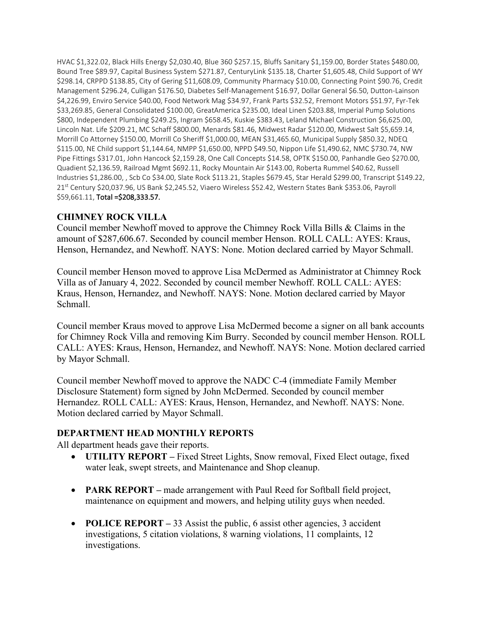HVAC \$1,322.02, Black Hills Energy \$2,030.40, Blue 360 \$257.15, Bluffs Sanitary \$1,159.00, Border States \$480.00, Bound Tree \$89.97, Capital Business System \$271.87, CenturyLink \$135.18, Charter \$1,605.48, Child Support of WY \$298.14, CRPPD \$138.85, City of Gering \$11,608.09, Community Pharmacy \$10.00, Connecting Point \$90.76, Credit Management \$296.24, Culligan \$176.50, Diabetes Self-Management \$16.97, Dollar General \$6.50, Dutton-Lainson \$4,226.99, Enviro Service \$40.00, Food Network Mag \$34.97, Frank Parts \$32.52, Fremont Motors \$51.97, Fyr-Tek \$33,269.85, General Consolidated \$100.00, GreatAmerica \$235.00, Ideal Linen \$203.88, Imperial Pump Solutions \$800, Independent Plumbing \$249.25, Ingram \$658.45, Kuskie \$383.43, Leland Michael Construction \$6,625.00, Lincoln Nat. Life \$209.21, MC Schaff \$800.00, Menards \$81.46, Midwest Radar \$120.00, Midwest Salt \$5,659.14, Morrill Co Attorney \$150.00, Morrill Co Sheriff \$1,000.00, MEAN \$31,465.60, Municipal Supply \$850.32, NDEQ \$115.00, NE Child support \$1,144.64, NMPP \$1,650.00, NPPD \$49.50, Nippon Life \$1,490.62, NMC \$730.74, NW Pipe Fittings \$317.01, John Hancock \$2,159.28, One Call Concepts \$14.58, OPTK \$150.00, Panhandle Geo \$270.00, Quadient \$2,136.59, Railroad Mgmt \$692.11, Rocky Mountain Air \$143.00, Roberta Rummel \$40.62, Russell Industries \$1,286.00, , Scb Co \$34.00, Slate Rock \$113.21, Staples \$679.45, Star Herald \$299.00, Transcript \$149.22, 21st Century \$20,037.96, US Bank \$2,245.52, Viaero Wireless \$52.42, Western States Bank \$353.06, Payroll \$59,661.11, Total =\$208,333.57.

# **CHIMNEY ROCK VILLA**

Council member Newhoff moved to approve the Chimney Rock Villa Bills & Claims in the amount of \$287,606.67. Seconded by council member Henson. ROLL CALL: AYES: Kraus, Henson, Hernandez, and Newhoff. NAYS: None. Motion declared carried by Mayor Schmall.

Council member Henson moved to approve Lisa McDermed as Administrator at Chimney Rock Villa as of January 4, 2022. Seconded by council member Newhoff. ROLL CALL: AYES: Kraus, Henson, Hernandez, and Newhoff. NAYS: None. Motion declared carried by Mayor Schmall.

Council member Kraus moved to approve Lisa McDermed become a signer on all bank accounts for Chimney Rock Villa and removing Kim Burry. Seconded by council member Henson. ROLL CALL: AYES: Kraus, Henson, Hernandez, and Newhoff. NAYS: None. Motion declared carried by Mayor Schmall.

Council member Newhoff moved to approve the NADC C-4 (immediate Family Member Disclosure Statement) form signed by John McDermed. Seconded by council member Hernandez. ROLL CALL: AYES: Kraus, Henson, Hernandez, and Newhoff. NAYS: None. Motion declared carried by Mayor Schmall.

## **DEPARTMENT HEAD MONTHLY REPORTS**

All department heads gave their reports.

- **UTILITY REPORT –** Fixed Street Lights, Snow removal, Fixed Elect outage, fixed water leak, swept streets, and Maintenance and Shop cleanup.
- **PARK REPORT** made arrangement with Paul Reed for Softball field project, maintenance on equipment and mowers, and helping utility guys when needed.
- **POLICE REPORT** 33 Assist the public, 6 assist other agencies, 3 accident investigations, 5 citation violations, 8 warning violations, 11 complaints, 12 investigations.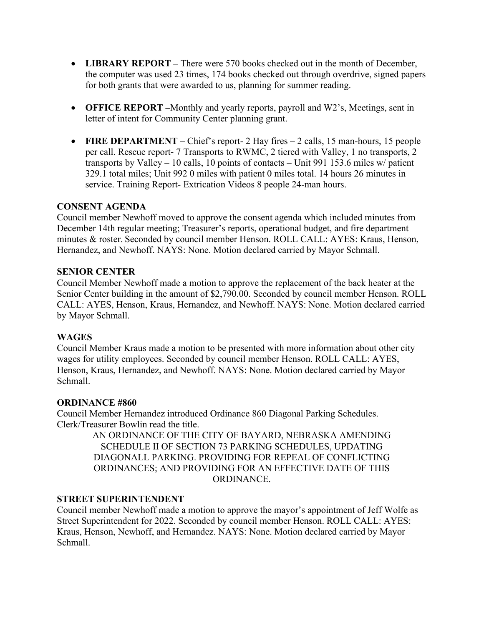- **LIBRARY REPORT** There were 570 books checked out in the month of December, the computer was used 23 times, 174 books checked out through overdrive, signed papers for both grants that were awarded to us, planning for summer reading.
- **OFFICE REPORT –**Monthly and yearly reports, payroll and W2's, Meetings, sent in letter of intent for Community Center planning grant.
- **FIRE DEPARTMENT** Chief's report- 2 Hay fires 2 calls, 15 man-hours, 15 people per call. Rescue report- 7 Transports to RWMC, 2 tiered with Valley, 1 no transports, 2 transports by Valley – 10 calls, 10 points of contacts – Unit 991 153.6 miles w/ patient 329.1 total miles; Unit 992 0 miles with patient 0 miles total. 14 hours 26 minutes in service. Training Report- Extrication Videos 8 people 24-man hours.

## **CONSENT AGENDA**

Council member Newhoff moved to approve the consent agenda which included minutes from December 14th regular meeting; Treasurer's reports, operational budget, and fire department minutes & roster. Seconded by council member Henson. ROLL CALL: AYES: Kraus, Henson, Hernandez, and Newhoff. NAYS: None. Motion declared carried by Mayor Schmall.

## **SENIOR CENTER**

Council Member Newhoff made a motion to approve the replacement of the back heater at the Senior Center building in the amount of \$2,790.00. Seconded by council member Henson. ROLL CALL: AYES, Henson, Kraus, Hernandez, and Newhoff. NAYS: None. Motion declared carried by Mayor Schmall.

## **WAGES**

Council Member Kraus made a motion to be presented with more information about other city wages for utility employees. Seconded by council member Henson. ROLL CALL: AYES, Henson, Kraus, Hernandez, and Newhoff. NAYS: None. Motion declared carried by Mayor Schmall.

### **ORDINANCE #860**

Council Member Hernandez introduced Ordinance 860 Diagonal Parking Schedules. Clerk/Treasurer Bowlin read the title.

> AN ORDINANCE OF THE CITY OF BAYARD, NEBRASKA AMENDING SCHEDULE II OF SECTION 73 PARKING SCHEDULES, UPDATING DIAGONALL PARKING. PROVIDING FOR REPEAL OF CONFLICTING ORDINANCES; AND PROVIDING FOR AN EFFECTIVE DATE OF THIS ORDINANCE.

## **STREET SUPERINTENDENT**

Council member Newhoff made a motion to approve the mayor's appointment of Jeff Wolfe as Street Superintendent for 2022. Seconded by council member Henson. ROLL CALL: AYES: Kraus, Henson, Newhoff, and Hernandez. NAYS: None. Motion declared carried by Mayor Schmall.